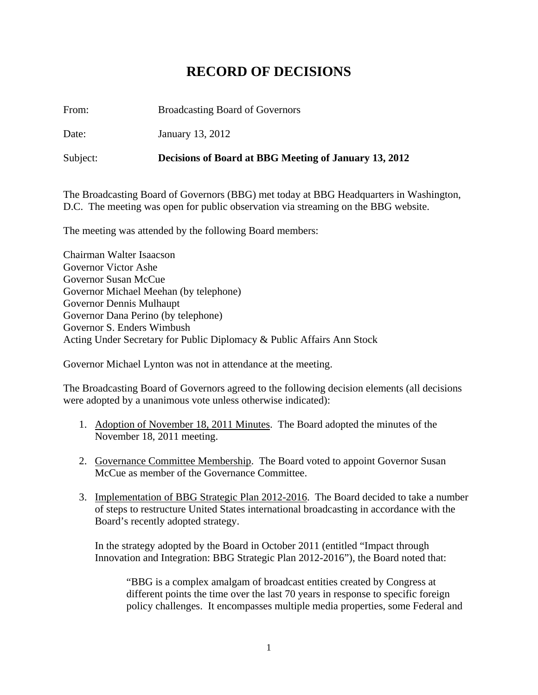## **RECORD OF DECISIONS**

From: Broadcasting Board of Governors

Date: January 13, 2012

Subject: **Decisions of Board at BBG Meeting of January 13, 2012** 

The Broadcasting Board of Governors (BBG) met today at BBG Headquarters in Washington, D.C. The meeting was open for public observation via streaming on the BBG website.

The meeting was attended by the following Board members:

Chairman Walter Isaacson Governor Victor Ashe Governor Susan McCue Governor Michael Meehan (by telephone) Governor Dennis Mulhaupt Governor Dana Perino (by telephone) Governor S. Enders Wimbush Acting Under Secretary for Public Diplomacy & Public Affairs Ann Stock

Governor Michael Lynton was not in attendance at the meeting.

The Broadcasting Board of Governors agreed to the following decision elements (all decisions were adopted by a unanimous vote unless otherwise indicated):

- 1. Adoption of November 18, 2011 Minutes. The Board adopted the minutes of the November 18, 2011 meeting.
- 2. Governance Committee Membership. The Board voted to appoint Governor Susan McCue as member of the Governance Committee.
- 3. Implementation of BBG Strategic Plan 2012-2016. The Board decided to take a number of steps to restructure United States international broadcasting in accordance with the Board's recently adopted strategy.

In the strategy adopted by the Board in October 2011 (entitled "Impact through Innovation and Integration: BBG Strategic Plan 2012-2016"), the Board noted that:

"BBG is a complex amalgam of broadcast entities created by Congress at different points the time over the last 70 years in response to specific foreign policy challenges. It encompasses multiple media properties, some Federal and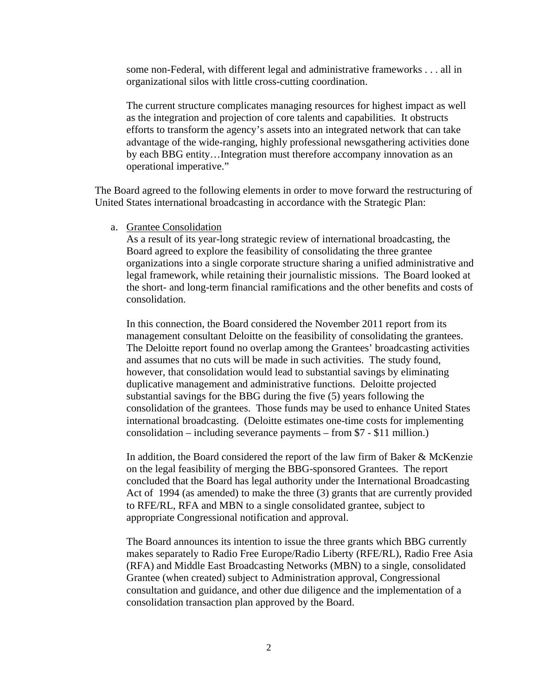some non-Federal, with different legal and administrative frameworks . . . all in organizational silos with little cross-cutting coordination.

The current structure complicates managing resources for highest impact as well as the integration and projection of core talents and capabilities. It obstructs efforts to transform the agency's assets into an integrated network that can take advantage of the wide-ranging, highly professional newsgathering activities done by each BBG entity…Integration must therefore accompany innovation as an operational imperative."

The Board agreed to the following elements in order to move forward the restructuring of United States international broadcasting in accordance with the Strategic Plan:

a. Grantee Consolidation

As a result of its year-long strategic review of international broadcasting, the Board agreed to explore the feasibility of consolidating the three grantee organizations into a single corporate structure sharing a unified administrative and legal framework, while retaining their journalistic missions. The Board looked at the short- and long-term financial ramifications and the other benefits and costs of consolidation.

In this connection, the Board considered the November 2011 report from its management consultant Deloitte on the feasibility of consolidating the grantees. The Deloitte report found no overlap among the Grantees' broadcasting activities and assumes that no cuts will be made in such activities. The study found, however, that consolidation would lead to substantial savings by eliminating duplicative management and administrative functions. Deloitte projected substantial savings for the BBG during the five (5) years following the consolidation of the grantees. Those funds may be used to enhance United States international broadcasting. (Deloitte estimates one-time costs for implementing consolidation – including severance payments – from \$7 - \$11 million.)

In addition, the Board considered the report of the law firm of Baker & McKenzie on the legal feasibility of merging the BBG-sponsored Grantees. The report concluded that the Board has legal authority under the International Broadcasting Act of 1994 (as amended) to make the three (3) grants that are currently provided to RFE/RL, RFA and MBN to a single consolidated grantee, subject to appropriate Congressional notification and approval.

The Board announces its intention to issue the three grants which BBG currently makes separately to Radio Free Europe/Radio Liberty (RFE/RL), Radio Free Asia (RFA) and Middle East Broadcasting Networks (MBN) to a single, consolidated Grantee (when created) subject to Administration approval, Congressional consultation and guidance, and other due diligence and the implementation of a consolidation transaction plan approved by the Board.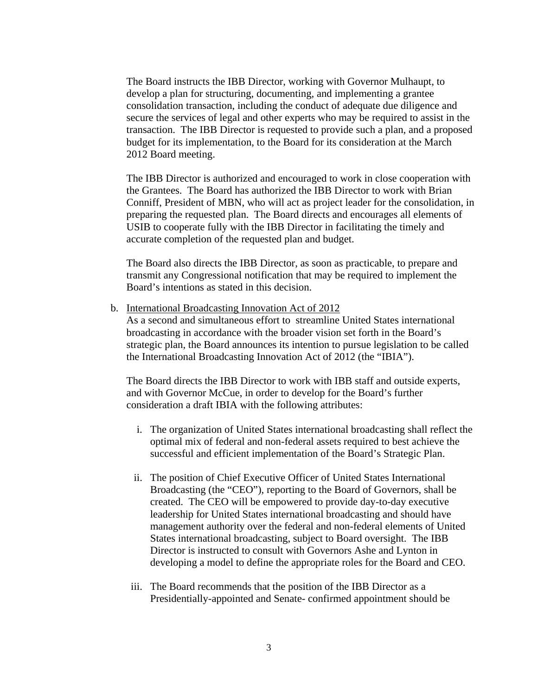The Board instructs the IBB Director, working with Governor Mulhaupt, to develop a plan for structuring, documenting, and implementing a grantee consolidation transaction, including the conduct of adequate due diligence and secure the services of legal and other experts who may be required to assist in the transaction. The IBB Director is requested to provide such a plan, and a proposed budget for its implementation, to the Board for its consideration at the March 2012 Board meeting.

The IBB Director is authorized and encouraged to work in close cooperation with the Grantees. The Board has authorized the IBB Director to work with Brian Conniff, President of MBN, who will act as project leader for the consolidation, in preparing the requested plan. The Board directs and encourages all elements of USIB to cooperate fully with the IBB Director in facilitating the timely and accurate completion of the requested plan and budget.

The Board also directs the IBB Director, as soon as practicable, to prepare and transmit any Congressional notification that may be required to implement the Board's intentions as stated in this decision.

b. International Broadcasting Innovation Act of 2012

As a second and simultaneous effort to streamline United States international broadcasting in accordance with the broader vision set forth in the Board's strategic plan, the Board announces its intention to pursue legislation to be called the International Broadcasting Innovation Act of 2012 (the "IBIA").

The Board directs the IBB Director to work with IBB staff and outside experts, and with Governor McCue, in order to develop for the Board's further consideration a draft IBIA with the following attributes:

- i. The organization of United States international broadcasting shall reflect the optimal mix of federal and non-federal assets required to best achieve the successful and efficient implementation of the Board's Strategic Plan.
- ii. The position of Chief Executive Officer of United States International Broadcasting (the "CEO"), reporting to the Board of Governors, shall be created. The CEO will be empowered to provide day-to-day executive leadership for United States international broadcasting and should have management authority over the federal and non-federal elements of United States international broadcasting, subject to Board oversight. The IBB Director is instructed to consult with Governors Ashe and Lynton in developing a model to define the appropriate roles for the Board and CEO.
- iii. The Board recommends that the position of the IBB Director as a Presidentially-appointed and Senate- confirmed appointment should be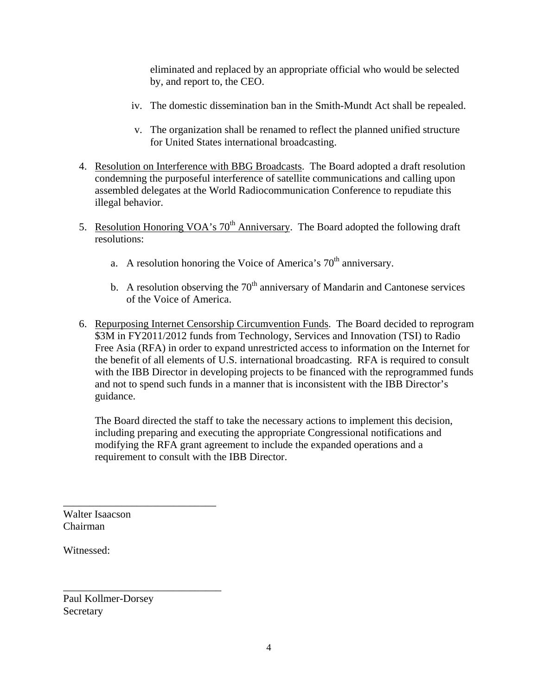eliminated and replaced by an appropriate official who would be selected by, and report to, the CEO.

- iv. The domestic dissemination ban in the Smith-Mundt Act shall be repealed.
- v. The organization shall be renamed to reflect the planned unified structure for United States international broadcasting.
- 4. Resolution on Interference with BBG Broadcasts. The Board adopted a draft resolution condemning the purposeful interference of satellite communications and calling upon assembled delegates at the World Radiocommunication Conference to repudiate this illegal behavior.
- 5. Resolution Honoring VOA's  $70<sup>th</sup>$  Anniversary. The Board adopted the following draft resolutions:
	- a. A resolution honoring the Voice of America's  $70<sup>th</sup>$  anniversary.
	- b. A resolution observing the  $70<sup>th</sup>$  anniversary of Mandarin and Cantonese services of the Voice of America.
- 6. Repurposing Internet Censorship Circumvention Funds. The Board decided to reprogram \$3M in FY2011/2012 funds from Technology, Services and Innovation (TSI) to Radio Free Asia (RFA) in order to expand unrestricted access to information on the Internet for the benefit of all elements of U.S. international broadcasting. RFA is required to consult with the IBB Director in developing projects to be financed with the reprogrammed funds and not to spend such funds in a manner that is inconsistent with the IBB Director's guidance.

The Board directed the staff to take the necessary actions to implement this decision, including preparing and executing the appropriate Congressional notifications and modifying the RFA grant agreement to include the expanded operations and a requirement to consult with the IBB Director.

Walter Isaacson Chairman

\_\_\_\_\_\_\_\_\_\_\_\_\_\_\_\_\_\_\_\_\_\_\_\_\_\_\_\_\_

\_\_\_\_\_\_\_\_\_\_\_\_\_\_\_\_\_\_\_\_\_\_\_\_\_\_\_\_\_\_

Witnessed:

Paul Kollmer-Dorsey Secretary